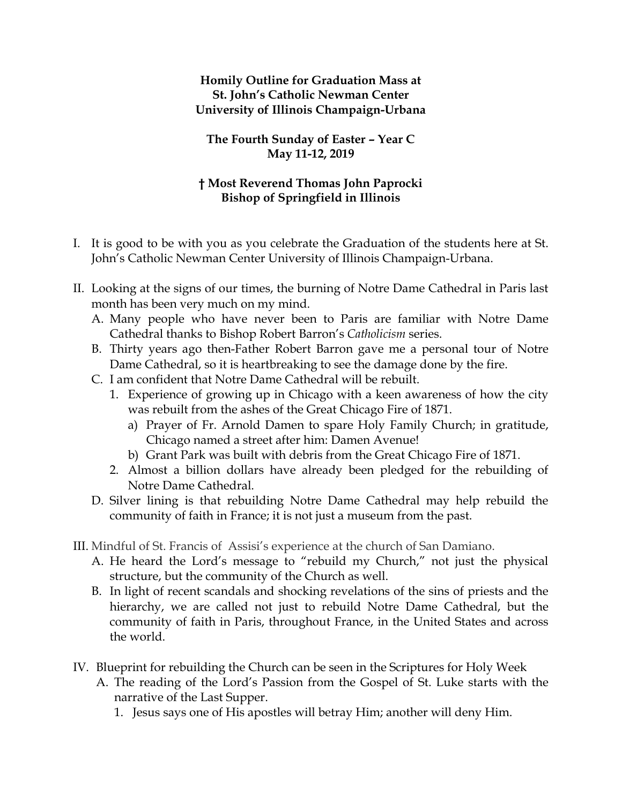## **Homily Outline for Graduation Mass at St. John's Catholic Newman Center University of Illinois Champaign-Urbana**

## **The Fourth Sunday of Easter – Year C May 11-12, 2019**

## **† Most Reverend Thomas John Paprocki Bishop of Springfield in Illinois**

- I. It is good to be with you as you celebrate the Graduation of the students here at St. John's Catholic Newman Center University of Illinois Champaign-Urbana.
- II. Looking at the signs of our times, the burning of Notre Dame Cathedral in Paris last month has been very much on my mind.
	- A. Many people who have never been to Paris are familiar with Notre Dame Cathedral thanks to Bishop Robert Barron's *Catholicism* series.
	- B. Thirty years ago then-Father Robert Barron gave me a personal tour of Notre Dame Cathedral, so it is heartbreaking to see the damage done by the fire.
	- C. I am confident that Notre Dame Cathedral will be rebuilt.
		- 1. Experience of growing up in Chicago with a keen awareness of how the city was rebuilt from the ashes of the Great Chicago Fire of 1871.
			- a) Prayer of Fr. Arnold Damen to spare Holy Family Church; in gratitude, Chicago named a street after him: Damen Avenue!
			- b) Grant Park was built with debris from the Great Chicago Fire of 1871.
		- 2. Almost a billion dollars have already been pledged for the rebuilding of Notre Dame Cathedral.
	- D. Silver lining is that rebuilding Notre Dame Cathedral may help rebuild the community of faith in France; it is not just a museum from the past.
- III. Mindful of St. Francis of Assisi's experience at the church of San Damiano.
	- A. He heard the Lord's message to "rebuild my Church," not just the physical structure, but the community of the Church as well.
	- B. In light of recent scandals and shocking revelations of the sins of priests and the hierarchy, we are called not just to rebuild Notre Dame Cathedral, but the community of faith in Paris, throughout France, in the United States and across the world.
- IV. Blueprint for rebuilding the Church can be seen in the Scriptures for Holy Week
	- A. The reading of the Lord's Passion from the Gospel of St. Luke starts with the narrative of the Last Supper.
		- 1. Jesus says one of His apostles will betray Him; another will deny Him.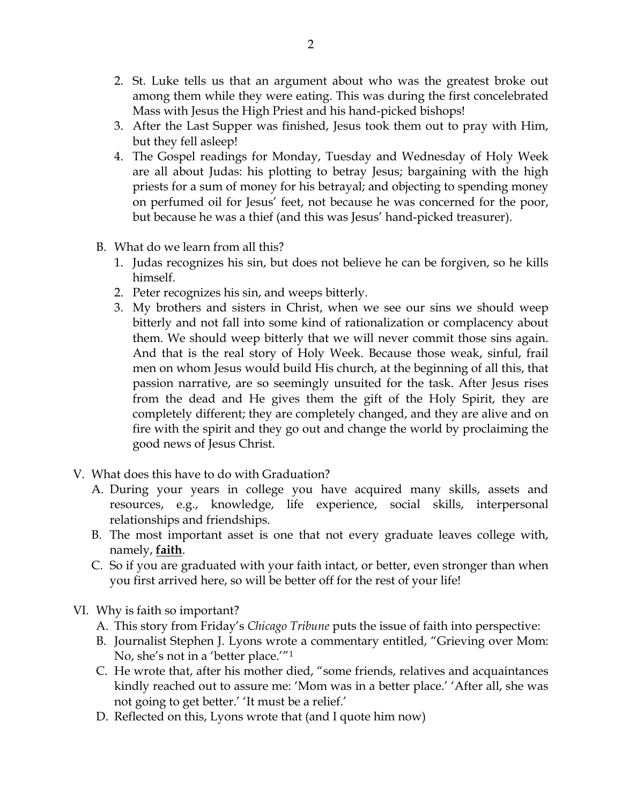- 2. St. Luke tells us that an argument about who was the greatest broke out among them while they were eating. This was during the first concelebrated Mass with Jesus the High Priest and his hand-picked bishops!
- 3. After the Last Supper was finished, Jesus took them out to pray with Him, but they fell asleep!
- 4. The Gospel readings for Monday, Tuesday and Wednesday of Holy Week are all about Judas: his plotting to betray Jesus; bargaining with the high priests for a sum of money for his betrayal; and objecting to spending money on perfumed oil for Jesus' feet, not because he was concerned for the poor, but because he was a thief (and this was Jesus' hand-picked treasurer).
- B. What do we learn from all this?
	- 1. Judas recognizes his sin, but does not believe he can be forgiven, so he kills himself.
	- 2. Peter recognizes his sin, and weeps bitterly.
	- 3. My brothers and sisters in Christ, when we see our sins we should weep bitterly and not fall into some kind of rationalization or complacency about them. We should weep bitterly that we will never commit those sins again. And that is the real story of Holy Week. Because those weak, sinful, frail men on whom Jesus would build His church, at the beginning of all this, that passion narrative, are so seemingly unsuited for the task. After Jesus rises from the dead and He gives them the gift of the Holy Spirit, they are completely different; they are completely changed, and they are alive and on fire with the spirit and they go out and change the world by proclaiming the good news of Jesus Christ.
- V. What does this have to do with Graduation?
	- A. During your years in college you have acquired many skills, assets and resources, e.g., knowledge, life experience, social skills, interpersonal relationships and friendships.
	- B. The most important asset is one that not every graduate leaves college with, namely, **faith**.
	- C. So if you are graduated with your faith intact, or better, even stronger than when you first arrived here, so will be better off for the rest of your life!
- VI. Why is faith so important?
	- A. This story from Friday's *Chicago Tribune* puts the issue of faith into perspective:
	- B. Journalist Stephen J. Lyons wrote a commentary entitled, "Grieving over Mom: No, she's not in a 'better place.'"[1](#page-2-0)
	- C. He wrote that, after his mother died, "some friends, relatives and acquaintances kindly reached out to assure me: 'Mom was in a better place.' 'After all, she was not going to get better.' 'It must be a relief.'
	- D. Reflected on this, Lyons wrote that (and I quote him now)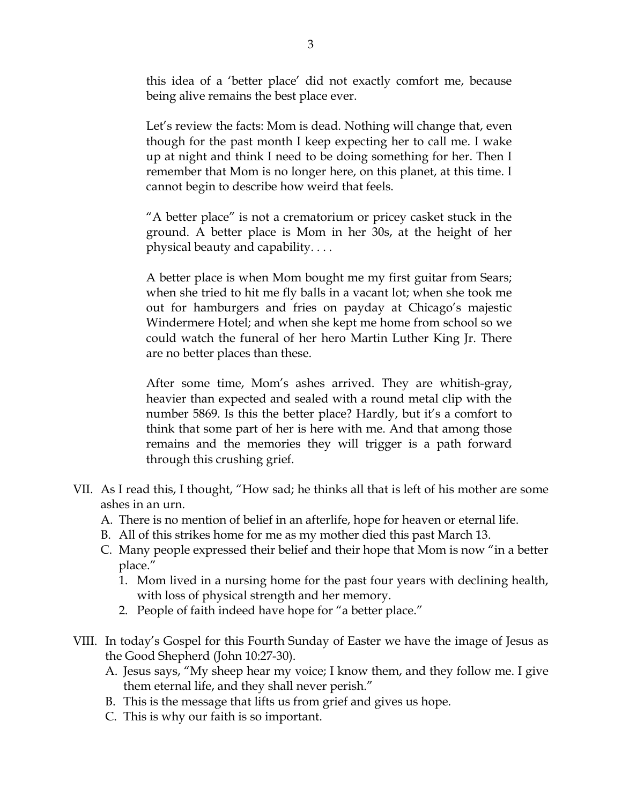this idea of a 'better place' did not exactly comfort me, because being alive remains the best place ever.

Let's review the facts: Mom is dead. Nothing will change that, even though for the past month I keep expecting her to call me. I wake up at night and think I need to be doing something for her. Then I remember that Mom is no longer here, on this planet, at this time. I cannot begin to describe how weird that feels.

"A better place" is not a crematorium or pricey casket stuck in the ground. A better place is Mom in her 30s, at the height of her physical beauty and capability. . . .

A better place is when Mom bought me my first guitar from Sears; when she tried to hit me fly balls in a vacant lot; when she took me out for hamburgers and fries on payday at Chicago's majestic Windermere Hotel; and when she kept me home from school so we could watch the funeral of her hero Martin Luther King Jr. There are no better places than these.

After some time, Mom's ashes arrived. They are whitish-gray, heavier than expected and sealed with a round metal clip with the number 5869. Is this the better place? Hardly, but it's a comfort to think that some part of her is here with me. And that among those remains and the memories they will trigger is a path forward through this crushing grief.

- VII. As I read this, I thought, "How sad; he thinks all that is left of his mother are some ashes in an urn.
	- A. There is no mention of belief in an afterlife, hope for heaven or eternal life.
	- B. All of this strikes home for me as my mother died this past March 13.
	- C. Many people expressed their belief and their hope that Mom is now "in a better place."
		- 1. Mom lived in a nursing home for the past four years with declining health, with loss of physical strength and her memory.
		- 2. People of faith indeed have hope for "a better place."
- <span id="page-2-1"></span><span id="page-2-0"></span>VIII. In today's Gospel for this Fourth Sunday of Easter we have the image of Jesus as the Good Shepherd (John 10:27-30).
	- A. Jesus says, "My sheep hear my voice; I know them, and they follow me. I give them eternal life, and they shall never perish."
	- B. This is the message that lifts us from grief and gives us hope.
	- C. This is why our faith is so important.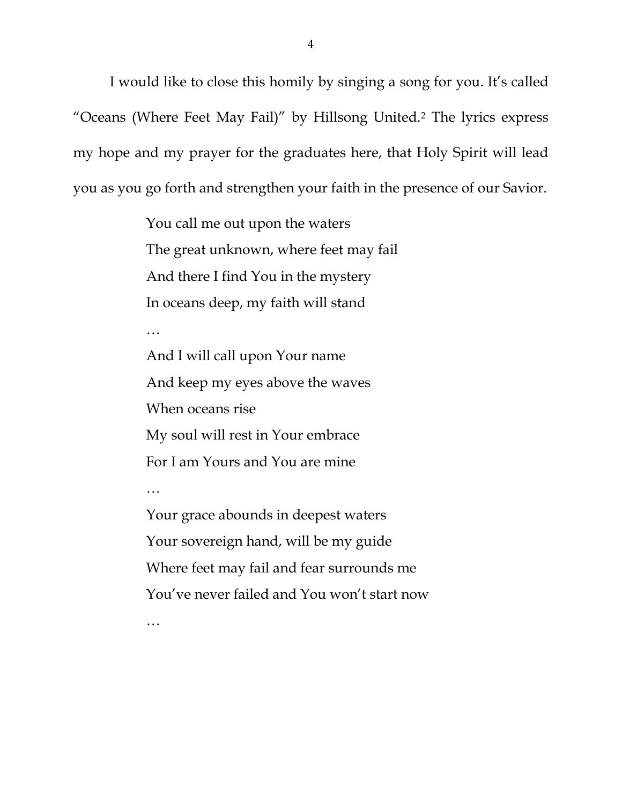I would like to close this homily by singing a song for you. It's called "Oceans (Where Feet May Fail)" by Hillsong United.[2](#page-2-1) The lyrics express my hope and my prayer for the graduates here, that Holy Spirit will lead you as you go forth and strengthen your faith in the presence of our Savior.

> You call me out upon the waters The great unknown, where feet may fail And there I find You in the mystery In oceans deep, my faith will stand

And I will call upon Your name And keep my eyes above the waves When oceans rise My soul will rest in Your embrace For I am Yours and You are mine …

…

…

Your grace abounds in deepest waters Your sovereign hand, will be my guide Where feet may fail and fear surrounds me You've never failed and You won't start now